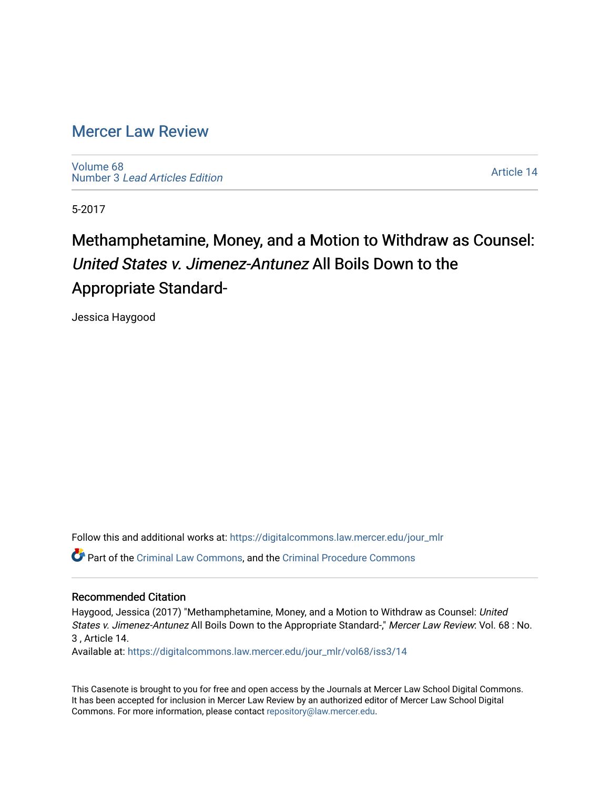# [Mercer Law Review](https://digitalcommons.law.mercer.edu/jour_mlr)

[Volume 68](https://digitalcommons.law.mercer.edu/jour_mlr/vol68) Number 3 [Lead Articles Edition](https://digitalcommons.law.mercer.edu/jour_mlr/vol68/iss3)

[Article 14](https://digitalcommons.law.mercer.edu/jour_mlr/vol68/iss3/14) 

5-2017

# Methamphetamine, Money, and a Motion to Withdraw as Counsel: United States v. Jimenez-Antunez All Boils Down to the Appropriate Standard-

Jessica Haygood

Follow this and additional works at: [https://digitalcommons.law.mercer.edu/jour\\_mlr](https://digitalcommons.law.mercer.edu/jour_mlr?utm_source=digitalcommons.law.mercer.edu%2Fjour_mlr%2Fvol68%2Fiss3%2F14&utm_medium=PDF&utm_campaign=PDFCoverPages) Part of the [Criminal Law Commons,](http://network.bepress.com/hgg/discipline/912?utm_source=digitalcommons.law.mercer.edu%2Fjour_mlr%2Fvol68%2Fiss3%2F14&utm_medium=PDF&utm_campaign=PDFCoverPages) and the [Criminal Procedure Commons](http://network.bepress.com/hgg/discipline/1073?utm_source=digitalcommons.law.mercer.edu%2Fjour_mlr%2Fvol68%2Fiss3%2F14&utm_medium=PDF&utm_campaign=PDFCoverPages)

## Recommended Citation

Haygood, Jessica (2017) "Methamphetamine, Money, and a Motion to Withdraw as Counsel: United States v. Jimenez-Antunez All Boils Down to the Appropriate Standard-," Mercer Law Review: Vol. 68 : No. 3 , Article 14.

Available at: [https://digitalcommons.law.mercer.edu/jour\\_mlr/vol68/iss3/14](https://digitalcommons.law.mercer.edu/jour_mlr/vol68/iss3/14?utm_source=digitalcommons.law.mercer.edu%2Fjour_mlr%2Fvol68%2Fiss3%2F14&utm_medium=PDF&utm_campaign=PDFCoverPages) 

This Casenote is brought to you for free and open access by the Journals at Mercer Law School Digital Commons. It has been accepted for inclusion in Mercer Law Review by an authorized editor of Mercer Law School Digital Commons. For more information, please contact [repository@law.mercer.edu.](mailto:repository@law.mercer.edu)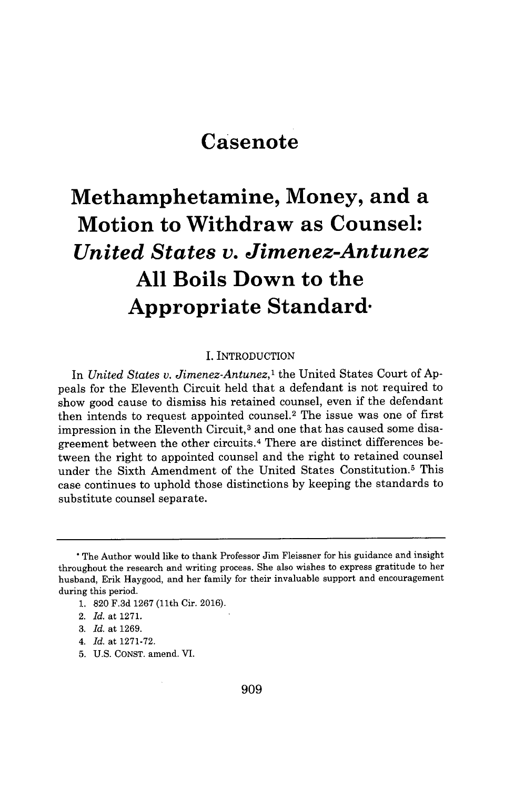# **Casenote**

# **Methamphetamine, Money, and a Motion to Withdraw as Counsel:** *United States v. Jimenez-Antunez* **All Boils Down to the Appropriate Standard-**

#### I. INTRODUCTION

In *United States v. Jimenez-Antunez*,<sup>1</sup> the United States Court of Appeals for the Eleventh Circuit held that a defendant is not required to show good cause to dismiss his retained counsel, even if the defendant then intends to request appointed counsel.<sup>2</sup> The issue was one of first impression in the Eleventh Circuit,<sup>3</sup> and one that has caused some disagreement between the other circuits. <sup>4</sup>There are distinct differences between the right to appointed counsel and the right to retained counsel under the Sixth Amendment of the United States Constitution.<sup>5</sup> This case continues to uphold those distinctions **by** keeping the standards to substitute counsel separate.

**1. 820 F.3d 1267** (11th Cir. **2016).**

**5. U.S. CONST.** amend. VI.

**<sup>\*</sup>** The Author would like to thank Professor Jim Fleissner for his guidance and insight throughout the research and writing process. She also wishes to express gratitude to her husband, Erik Haygood, and her family for their invaluable support and encouragement during this period.

<sup>2.</sup> *Id.* at **1271.**

**<sup>3.</sup>** *Id.* at **1269.**

*<sup>4.</sup> Id.* at **1271-72.**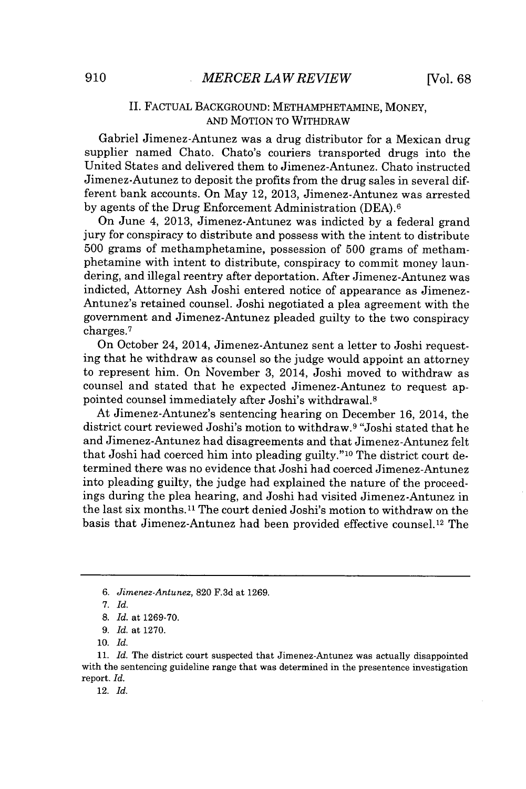### **II.** FACTUAL **BACKGROUND:** METHAMPHETAMINE, MONEY, **AND** MOTION TO WITHDRAW

Gabriel Jimenez-Antunez was a drug distributor for a Mexican drug supplier named Chato. Chato's couriers transported drugs into the United States and delivered them to Jimenez-Antunez. Chato instructed Jimenez-Autunez to deposit the profits from the drug sales in several different bank accounts. On May 12, **2013,** Jimenez-Antunez was arrested **by** agents of the Drug Enforcement Administration **(DEA).6**

On June 4, **2013,** Jimenez-Antunez was indicted **by** a federal grand jury for conspiracy to distribute and possess with the intent to distribute **500** grams of methamphetamine, possession of **500** grams of methamphetamine with intent to distribute, conspiracy to commit money laundering, and illegal reentry after deportation. After Jimenez-Antunez was indicted, Attorney Ash Joshi entered notice of appearance as Jimenez-Antunez's retained counsel. Joshi negotiated a plea agreement with the government and Jimenez-Antunez pleaded guilty to the two conspiracy charges.<sup>7</sup>

On October 24, 2014, Jimenez-Antunez sent a letter to Joshi requesting that he withdraw as counsel so the judge would appoint an attorney to represent him. On November **3,** 2014, Joshi moved to withdraw as counsel and stated that he expected Jimenez-Antunez to request appointed counsel immediately after Joshi's withdrawal. <sup>8</sup>

At Jimenez-Antunez's sentencing hearing on December **16,** 2014, the district court reviewed Joshi's motion to withdraw.<sup>9</sup>"Joshi stated that he and Jimenez-Antunez had disagreements and that Jimenez-Antunez felt that Joshi had coerced him into pleading guilty."10 The district court determined there was no evidence that Joshi had coerced Jimenez-Antunez into pleading guilty, the judge had explained the nature of the proceedings during the plea hearing, and Joshi had visited Jimenez-Antunez in the last six months.11 The court denied Joshi's motion to withdraw on the basis that Jimenez-Antunez had been provided effective counsel. 12 The

*<sup>6.</sup> Jimenez-Antunez,* **820 F.3d** at **1269.**

*<sup>7.</sup> Id.*

**<sup>8.</sup>** *Id. at* **1269-70.**

*<sup>9.</sup> Id. at* **1270.**

**<sup>10.</sup>** *Id.*

**<sup>11.</sup>** *Id.* The district court suspected that Jimenez-Antunez was actually disappointed with the sentencing guideline range that was determined in the presentence investigation report. *Id.*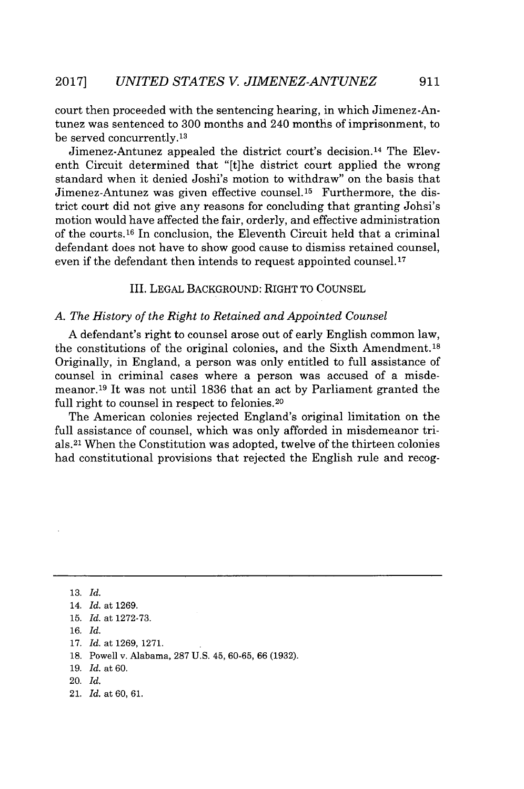court then proceeded with the sentencing hearing, in which Jimenez-Antunez was sentenced to **300** months and 240 months of imprisonment, to be served concurrently. <sup>13</sup>

Jimenez-Antunez appealed the district court's decision. <sup>14</sup>The Eleventh Circuit determined that "[t]he district court applied the wrong standard when it denied Joshi's motion to withdraw" on the basis that Jimenez-Antunez was given effective counsel.15 Furthermore, the district court did not give any reasons for concluding that granting Johsi's motion would have affected the fair, orderly, and effective administration of the courts.16 In conclusion, the Eleventh Circuit held that a criminal defendant does not have to show good cause to dismiss retained counsel, even if the defendant then intends to request appointed counsel.<sup>17</sup>

### III. **LEGAL BACKGROUND:** RIGHT TO **COUNSEL**

#### *A. The History of the Right to Retained and Appointed Counsel*

**A** defendant's right to counsel arose out of early English common law, the constitutions of the original colonies, and the Sixth Amendment. <sup>15</sup> Originally, in England, a person was only entitled to full assistance of counsel in criminal cases where a person was accused of a misdemeanor. <sup>19</sup>It was not until **1836** that an act **by** Parliament granted the full right to counsel in respect to felonies.<sup>20</sup>

The American colonies rejected England's original limitation on the full assistance of counsel, which was only afforded in misdemeanor trials. <sup>21</sup>When the Constitution was adopted, twelve of the thirteen colonies had constitutional provisions that rejected the English rule and recog-

**13.** *Id.*

21. *Id.* at **60, 61.**

<sup>14.</sup> *Id.* at **1269.**

**<sup>15.</sup>** *Id.* at **1272-73.**

**<sup>16.</sup>** *Id.*

**<sup>17.</sup>** *Id.* at **1269, 1271.**

**<sup>18.</sup>** Powell v. Alabama, **287 U.S.** 45, **60-65, 66 (1932).**

**<sup>19.</sup>** *Id.* at **60.**

<sup>20.</sup> *Id.*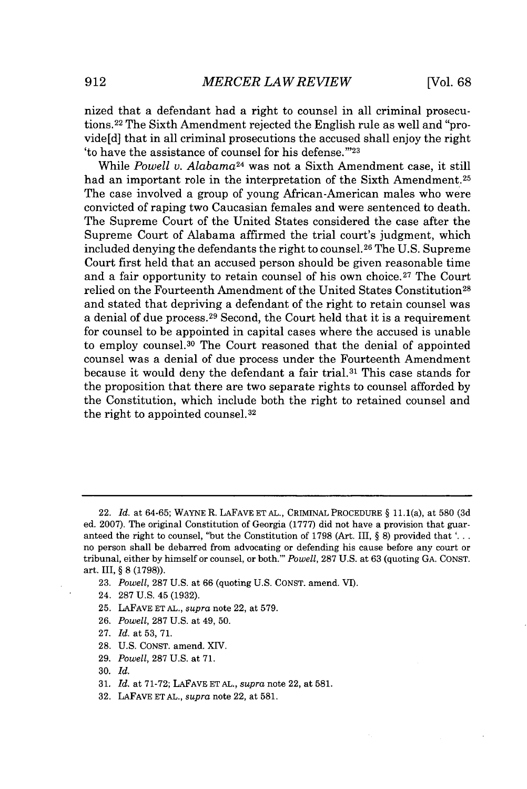nized that a defendant had a right to counsel in all criminal prosecutions. <sup>22</sup>The Sixth Amendment rejected the English rule as well and "provide[d] that in all criminal prosecutions the accused shall enjoy the right 'to have the assistance of counsel for his defense.""23

While *Powell v. Alabama*<sup>24</sup> was not a Sixth Amendment case, it still had an important role in the interpretation of the Sixth Amendment.<sup>25</sup> The case involved a group of young African-American males who were convicted of raping two Caucasian females and were sentenced to death. The Supreme Court of the United States considered the case after the Supreme Court of Alabama affirmed the trial court's judgment, which included denying the defendants the right to counsel. **26** The **U.S.** Supreme Court first held that an accused person should be given reasonable time and a fair opportunity to retain counsel of his own choice.<sup>27</sup> The Court relied on the Fourteenth Amendment of the United States Constitution <sup>28</sup> and stated that depriving a defendant of the right to retain counsel was a denial of due process.<sup>29</sup> Second, the Court held that it is a requirement for counsel to be appointed in capital cases where the accused is unable to employ counsel.<sup>30</sup> The Court reasoned that the denial of appointed counsel was a denial of due process under the Fourteenth Amendment because it would deny the defendant a fair trial.<sup>31</sup> This case stands for the proposition that there are two separate rights to counsel afforded **by** the Constitution, which include both the right to retained counsel and the right to appointed counsel. <sup>32</sup>

- 24. **287 U.S.** 45 **(1932).**
- **25. LAFAVE ET AL.,** *supra* note 22, at **579.**
- **26.** *Powell,* **287 U.S.** at 49, **50.**
- **27.** *Id.* at **53, 71.**
- **28. U.S. CONST.** amend. XIV.
- **29.** *Powell,* **287 U.S.** at **71.**

- **31.** *Id.* at **71-72; LAFAVE ET AL.,** *supra* note 22, at **581.**
- **32. LAFAVE ET AL.,** *supra* note 22, at **581.**

<sup>22.</sup> *Id.* at **64-65;** WAYNE R. LAFAVE **ETAL.,** CRIMINAL PROCEDURE **§** 11.1(a), at **580 (3d** ed. **2007).** The original Constitution of Georgia **(1777)** did not have a provision that *guar*anteed the right to counsel, "but the Constitution of **1798** (Art. III, **§ 8)** provided that **'. .** no person shall be debarred from advocating or defending his cause before any court or tribunal, either **by** himself or counsel, or both."' *Powell,* **287 U.S.** at **63** (quoting **GA. CONST.** art. III, **§ 8 (1798)).**

**<sup>23.</sup>** *Powell,* **287 U.S.** at **66** (quoting **U.S. CONST.** amend. VI).

**<sup>30.</sup>** *Id.*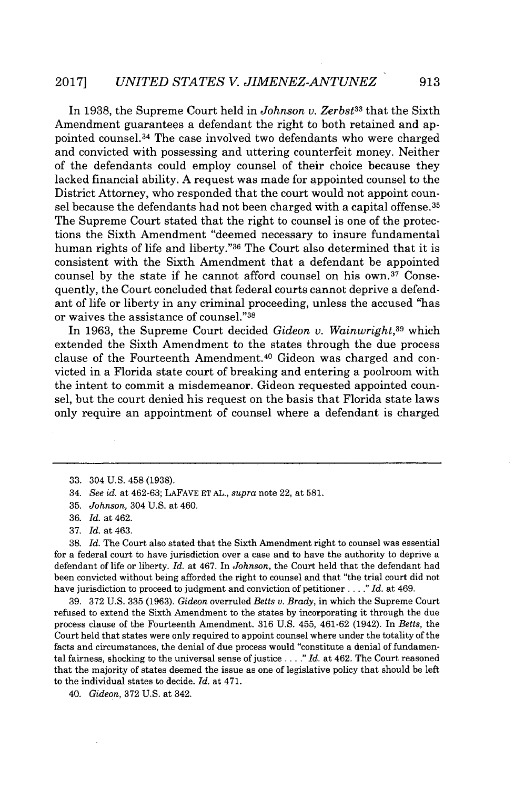In **1938,** the Supreme Court held in *Johnson v. Zerbst<sup>33</sup>*that the Sixth Amendment guarantees a defendant the right to both retained and appointed counsel. <sup>34</sup>The case involved two defendants who were charged and convicted with possessing and uttering counterfeit money. Neither of the defendants could employ counsel of their choice because they lacked financial ability. **A** request was made for appointed counsel to the District Attorney, who responded that the court would not appoint counsel because the defendants had not been charged with a capital offense.<sup>35</sup> The Supreme Court stated that the right to counsel is one of the protections the Sixth Amendment "deemed necessary to insure fundamental human rights of life and liberty."<sup>36</sup> The Court also determined that it is consistent with the Sixth Amendment that a defendant be appointed counsel by the state if he cannot afford counsel on his own.<sup>37</sup> Consequently, the Court concluded that federal courts cannot deprive a defendant of life or liberty in any criminal proceeding, unless the accused "has or waives the assistance of counsel."<sup>38</sup>

In **1963,** the Supreme Court decided *Gideon v. Wainwright,<sup>39</sup>*which extended the Sixth Amendment to the states through the due process clause of the Fourteenth Amendment.<sup>40</sup> Gideon was charged and convicted in a Florida state court of breaking and entering a poolroom with the intent to commit a misdemeanor. Gideon requested appointed counsel, but the court denied his request on the basis that Florida state laws only require an appointment of counsel where a defendant is charged

**38.** *Id.* The Court also stated that the Sixth Amendment right to counsel was essential for a federal court to have jurisdiction over a case and to have the authority to deprive a defendant of life or liberty. *Id.* at 467. In *Johnson,* the Court held that the defendant had been convicted without being afforded the right to counsel and that "the trial court did not have jurisdiction to proceed to judgment and conviction of petitioner **. . .** *." Id.* at 469.

**39. 372 U.S. 335 (1963).** *Gideon* overruled *Betts v. Brady,* in which the Supreme Court refused to extend the Sixth Amendment to the states **by** incorporating it through the due process clause of the Fourteenth Amendment. **316 U.S.** 455, 461-62 (1942). In *Betts,* the Court held that states were only required to appoint counsel where under the totality of the facts and circumstances, the denial of due process would "constitute a denial of fundamental fairness, shocking to the universal sense of justice **. . .** *." Id.* at 462. The Court reasoned that the majority of states deemed the issue as one of legislative policy that should be left to the individual states to decide. *Id.* at 471.

40. *Gideon,* **372 U.S.** at 342.

**<sup>33.</sup>** 304 **U.S.** 458 **(1938).**

<sup>34.</sup> *See id. at* **462-63; LAFAVE ET AL.,** *supra* note 22, at **581.**

**<sup>35.</sup>** *Johnson,* 304 **U.S.** at 460.

**<sup>36.</sup>** *Id. at* 462.

**<sup>37.</sup>** *Id. at* 463.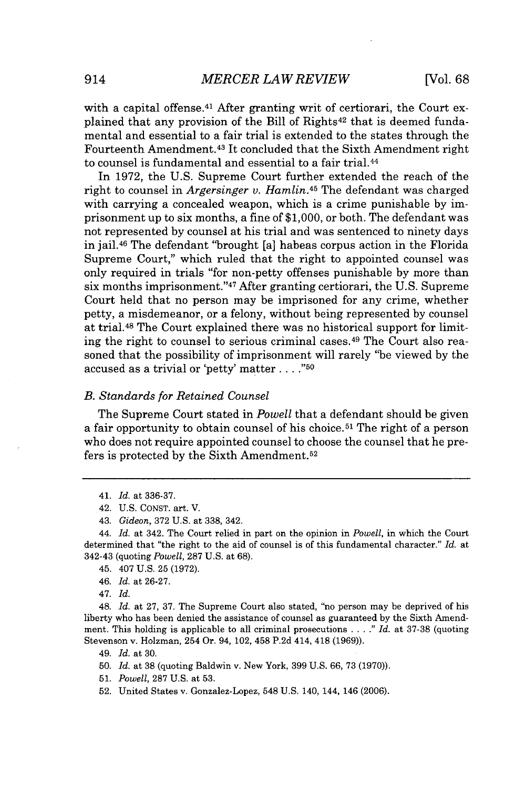with a capital offense.<sup>41</sup> After granting writ of certiorari, the Court explained that any provision of the Bill of Rights<sup>42</sup> that is deemed fundamental and essential to a fair trial is extended to the states through the Fourteenth Amendment. <sup>43</sup>It concluded that the Sixth Amendment right to counsel is fundamental and essential to a fair trial.<sup>44</sup>

In **1972,** the **U.S.** Supreme Court further extended the reach of the right to counsel in *Argersinger v. Hamlin.<sup>45</sup>*The defendant was charged with carrying a concealed weapon, which is a crime punishable **by** imprisonment up to six months, a fine of **\$1,000,** or both. The defendant was not represented **by** counsel at his trial and was sentenced to ninety days in jail.4<sup>6</sup>The defendant "brought [a] habeas corpus action in the Florida Supreme Court," which ruled that the right to appointed counsel was only required in trials "for non-petty offenses punishable **by** more than six months imprisonment." <sup>47</sup>After granting certiorari, the **U.S.** Supreme Court held that no person may be imprisoned for any crime, whether petty, a misdemeanor, or a felony, without being represented **by** counsel at trial. <sup>48</sup>The Court explained there was no historical support for limiting the right to counsel to serious criminal cases. <sup>49</sup>The Court also reasoned that the possibility of imprisonment will rarely "be viewed **by** the accused as a trivial or 'petty' matter **. ...**

### *B. Standards for Retained Counsel*

The Supreme Court stated in *Powell* that a defendant should be given a fair opportunity to obtain counsel of his choice.<sup>51</sup> The right of a person who does not require appointed counsel to choose the counsel that he prefers is protected **by** the Sixth Amendment. <sup>52</sup>

44. *Id.* at 342. The Court relied in part on the opinion in *Powell,* in which the Court determined that "the right to the aid of counsel is of this fundamental character." *Id.* at 342-43 (quoting *Powell,* **287 U.S.** at **68).**

45. 407 **U.S. 25 (1972).**

46. *Id.* at **26-27.**

47. *Id.*

48. *Id.* at **27, 37.** The Supreme Court also stated, "no person may be deprived of his liberty who has been denied the assistance of counsel as guaranteed **by** the Sixth Amendment. This holding is applicable to all criminal prosecutions **.....** *Id.* at **37-38** (quoting Stevenson v. Holzman, 254 Or. 94, 102, 458 **P.2d** 414, 418 **(1969)).**

49. *Id.* at **30.**

**50.** *Id.* at **38** (quoting Baldwin v. New York, **399 U.S. 66, 73 (1970)).**

**51.** *Powell,* **287 U.S.** at **53.**

**52.** United States v. Gonzalez-Lopez, 548 **U.S.** 140, 144, 146 **(2006).**

<sup>41.</sup> *Id.* at **336-37.**

<sup>42.</sup> **U.S. CONST.** art. V.

<sup>43.</sup> *Gideon,* **372 U.S.** at **338,** 342.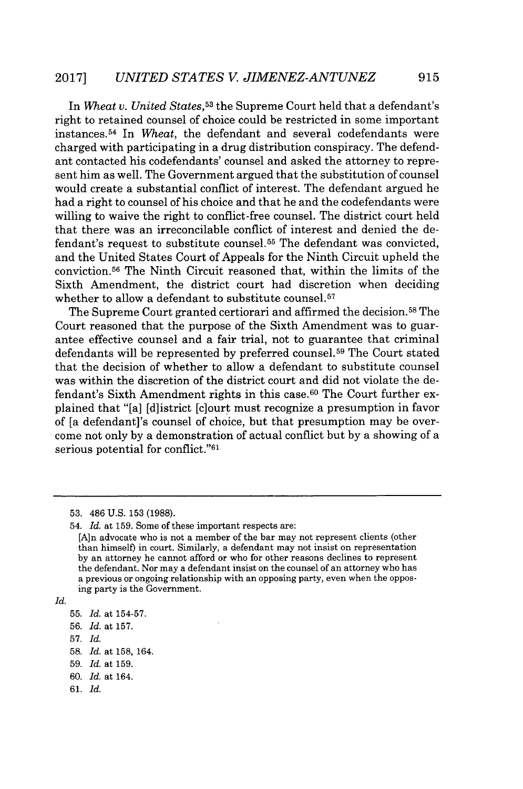In *Wheat v. United States,<sup>53</sup>the* Supreme Court held that a defendant's right to retained counsel of choice could be restricted in some important instances. <sup>54</sup>In *Wheat,* the defendant and several codefendants were charged with participating in a drug distribution conspiracy. The defendant contacted his codefendants' counsel and asked the attorney to represent him as well. The Government argued that the substitution of counsel would create a substantial conflict of interest. The defendant argued he had a right to counsel of his choice and that he and the codefendants were willing to waive the right to conflict-free counsel. The district court held that there was an irreconcilable conflict of interest and denied the defendant's request to substitute counsel.<sup>55</sup> The defendant was convicted, and the United States Court of Appeals for the Ninth Circuit upheld the conviction.<sup>56</sup>The Ninth Circuit reasoned that, within the limits of the Sixth Amendment, the district court had discretion when deciding whether to allow a defendant to substitute counsel.<sup>57</sup>

The Supreme Court granted certiorari and affirmed the decision.<sup>58</sup> The Court reasoned that the purpose of the Sixth Amendment was to guarantee effective counsel and a fair trial, not to guarantee that criminal defendants will be represented **by** preferred counsel.<sup>59</sup>The Court stated that the decision of whether to allow a defendant to substitute counsel was within the discretion of the district court and did not violate the defendant's Sixth Amendment rights in this case.60 The Court further explained that "[a] [d]istrict [c]ourt must recognize a presumption in favor of [a defendant]'s counsel of choice, but that presumption may be overcome not only **by** a demonstration of actual conflict but **by** a showing of a serious potential for conflict."<sup>61</sup>

**<sup>53.</sup>** 486 **U.S. 153 (1988).**

<sup>54.</sup> *Id.* at **159.** Some of these important respects are:

<sup>[</sup>Aln advocate who is not a member of the bar may not represent clients (other than himself) in court. Similarly, a defendant may not insist on representation **by** an attorney he cannot afford or who for other reasons declines to represent the defendant. Nor may a defendant insist on the counsel of an attorney who has a previous or ongoing relationship with an opposing party, even when the opposing party is the Government.

*Id.*

**<sup>55.</sup>** *Id.* at **154-57.**

**<sup>56.</sup>** *Id.* at **157.**

**<sup>57.</sup>** *Id.*

**<sup>58.</sup>** *Id.* at **158,** 164.

**<sup>59.</sup>** *Id.* at **159.**

**<sup>60.</sup>** *Id.* at 164.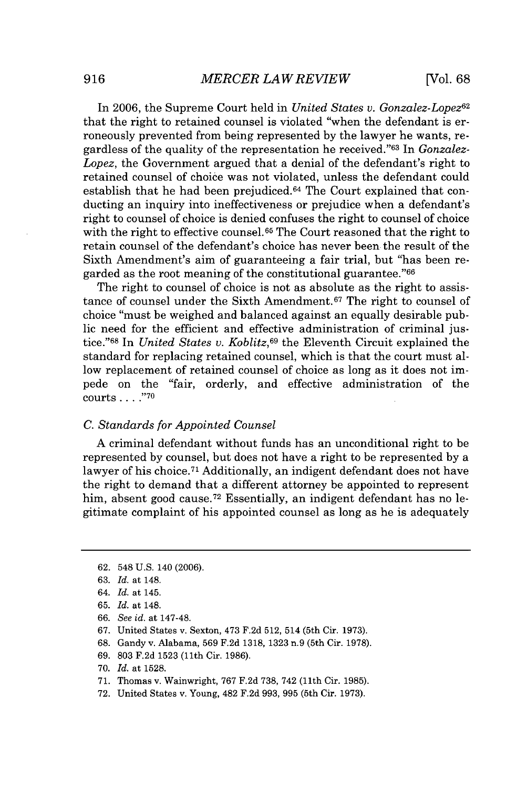In 2006, the Supreme Court held in *United States v. Gonzalez-Lopez*<sup>62</sup> that the right to retained counsel is violated "when the defendant is erroneously prevented from being represented **by** the lawyer he wants, regardless of the quality of the representation he received."<sup>63</sup> In *Gonzalez*-*Lopez,* the Government argued that a denial of the defendant's right to retained counsel of choice was not violated, unless the defendant could establish that he had been prejudiced.64 The Court explained that conducting an inquiry into ineffectiveness or prejudice when a defendant's right to counsel of choice is denied confuses the right to counsel of choice with the right to effective counsel.<sup>65</sup> The Court reasoned that the right to retain counsel of the defendant's choice has never been the result of the Sixth Amendment's aim of guaranteeing a fair trial, but "has been regarded as the root meaning of the constitutional guarantee."<sup>66</sup>

The right to counsel of choice is not as absolute as the right to assistance of counsel under the Sixth Amendment.<sup>67</sup> The right to counsel of choice "must be weighed and balanced against an equally desirable public need for the efficient and effective administration of criminal justice."<sup>68</sup> In *United States v. Koblitz*,<sup>69</sup> the Eleventh Circuit explained the standard for replacing retained counsel, which is that the court must allow replacement of retained counsel of choice as long as it does not impede on the "fair, orderly, and effective administration of the courts **. . . ."70**

#### *C. Standards for Appointed Counsel*

**A** criminal defendant without funds has an unconditional right to be represented **by** counsel, but does not have a right to be represented **by** a lawyer of his choice.<sup>71</sup> Additionally, an indigent defendant does not have the right to demand that a different attorney be appointed to represent him, absent good cause.<sup>72</sup> Essentially, an indigent defendant has no legitimate complaint of his appointed counsel as long as he is adequately

- **66.** *See id. at* 147-48.
- **67.** United States v. Sexton, 473 **F.2d 512,** 514 (5th Cir. **1973).**
- **68.** Gandy v. Alabama, **569 F.2d 1318, 1323** n.9 (5th Cir. **1978).**
- **69. 803 F.2d 1523** (11th Cir. **1986).**
- **70.** *Id.* at **1528.**
- **71.** Thomas v. Wainwright, **767 F.2d 738,** 742 **(11th** Cir. **1985).**
- **72.** United States v. Young, 482 **F.2d 993, 995** (5th Cir. **1973).**

**<sup>62.</sup>** 548 **U.S.** 140 **(2006).**

**<sup>63.</sup>** *Id. at* 148.

*<sup>64.</sup> Id. at* 145.

**<sup>65.</sup>** *Id. at* 148.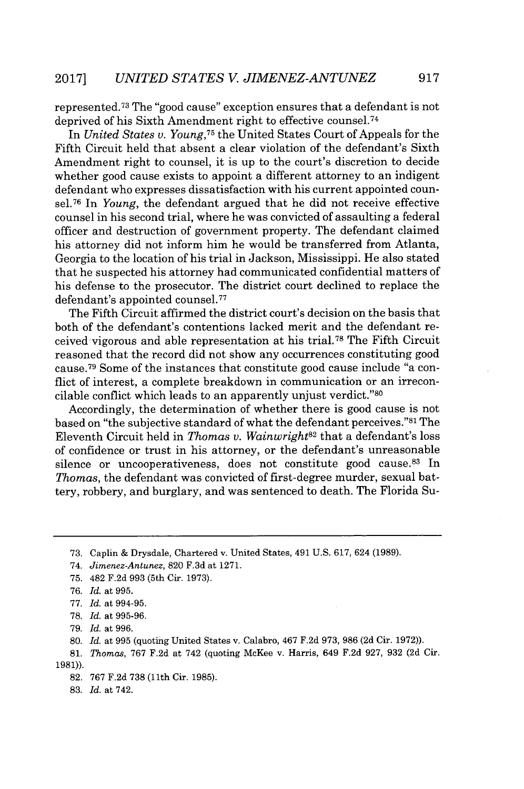represented. <sup>73</sup>The "good cause" exception ensures that a defendant is not deprived of his Sixth Amendment right to effective counsel.<sup>74</sup>

In *United States v. Young,<sup>75</sup>*the United States Court of Appeals for the Fifth Circuit held that absent a clear violation of the defendant's Sixth Amendment right to counsel, it is up to the court's discretion to decide whether good cause exists to appoint a different attorney to an indigent defendant who expresses dissatisfaction with his current appointed counsel.<sup>76</sup> In *Young*, the defendant argued that he did not receive effective counsel in his second trial, where he was convicted of assaulting a federal officer and destruction of government property. The defendant claimed his attorney did not inform him he would be transferred from Atlanta, Georgia to the location of his trial in Jackson, Mississippi. He also stated that he suspected his attorney had communicated confidential matters of his defense to the prosecutor. The district court declined to replace the defendant's appointed counsel.<sup>77</sup>

The Fifth Circuit affirmed the district court's decision on the basis that both of the defendant's contentions lacked merit and the defendant received vigorous and able representation at his trial.<sup>78</sup> The Fifth Circuit reasoned that the record did not show any occurrences constituting good cause.<sup>79</sup> Some of the instances that constitute good cause include "a conflict of interest, a complete breakdown in communication or an irreconcilable conflict which leads to an apparently unjust verdict."<sup>80</sup>

Accordingly, the determination of whether there is good cause is not based on "the subjective standard of what the defendant perceives."<sup>81</sup> The Eleventh Circuit held in *Thomas v. Wainwright<sup>82</sup>*that a defendant's loss of confidence or trust in his attorney, or the defendant's unreasonable silence or uncooperativeness, does not constitute good cause.<sup>83</sup> In *Thomas,* the defendant was convicted of first-degree murder, sexual battery, robbery, and burglary, and was sentenced to death. The Florida Su-

**80.** *Id. at* **995** (quoting United States v. Calabro, 467 **F.2d 973, 986 (2d** Cir. **1972)).**

**81.** *Thomas,* **767 F.2d** at 742 (quoting McKee v. Harris, 649 **F.2d 927, 932 (2d** Cir. **1981)).**

**82. 767 F.2d 738** (11th Cir. **1985).**

**83.** *Id. at* 742.

**<sup>73.</sup>** Caplin **&** Drysdale, Chartered v. United States, 491 **U.S. 617,** 624 **(1989).**

<sup>74.</sup> *Jimenez-Antunez,* **820 F.3d** at **1271.**

**<sup>75.</sup>** 482 **F.2d 993** (5th Cir. **1973).**

*<sup>76.</sup> Id. at* **995.**

*<sup>77.</sup> Id. at* **994-95.**

**<sup>78.</sup>** *Id. at* **995-96.**

**<sup>79.</sup>** *Id. at 996.*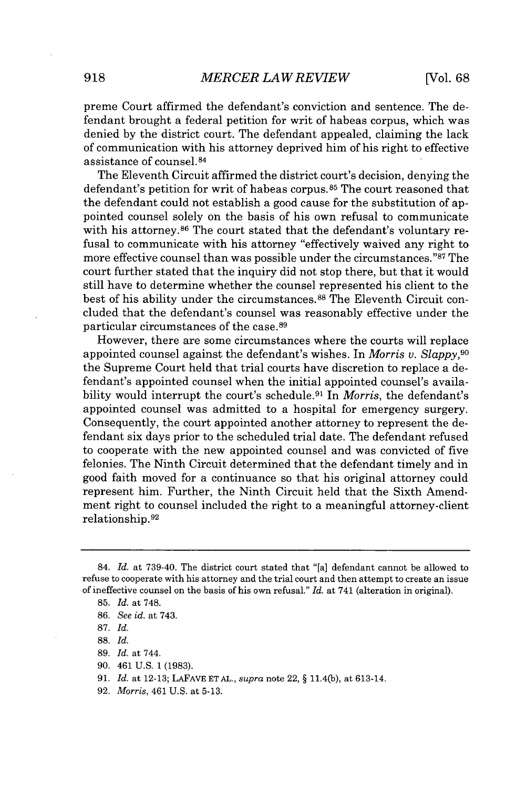preme Court affirmed the defendant's conviction and sentence. The defendant brought a federal petition for writ of habeas corpus, which was denied **by** the district court. The defendant appealed, claiming the lack of communication with his attorney deprived him of his right to effective assistance of counsel. <sup>84</sup>

The Eleventh Circuit affirmed the district court's decision, denying the defendant's petition for writ of habeas corpus. 85 The court reasoned that the defendant could not establish a good cause for the substitution of appointed counsel solely on the basis of his own refusal to communicate with his attorney.<sup>86</sup> The court stated that the defendant's voluntary refusal to communicate with his attorney "effectively waived any right to more effective counsel than was possible under the circumstances."<sup>87</sup> The court further stated that the inquiry did not stop there, but that it would still have to determine whether the counsel represented his client to the best of his ability under the circumstances.<sup>88</sup> The Eleventh Circuit concluded that the defendant's counsel was reasonably effective under the particular circumstances of the case.<sup>89</sup>

However, there are some circumstances where the courts will replace appointed counsel against the defendant's wishes. In *Morris v. Slappy,<sup>90</sup>* the Supreme Court held that trial courts have discretion to replace a defendant's appointed counsel when the initial appointed counsel's availability would interrupt the court's schedule.<sup>91</sup> In *Morris*, the defendant's appointed counsel was admitted to a hospital for emergency surgery. Consequently, the court appointed another attorney to represent the defendant six days prior to the scheduled trial date. The defendant refused to cooperate with the new appointed counsel and was convicted of five felonies. The Ninth Circuit determined that the defendant timely and in good faith moved for a continuance so that his original attorney could represent him. Further, the Ninth Circuit held that the Sixth Amendment right to counsel included the right to a meaningful attorney-client relationship.92

- **88.** *Id.*
- **89.** *Id.* at 744.
- **90.** 461 **U.S. 1 (1983).**
- **91.** *Id.* at **12-13; LAFAVE ET AL.,** *supra* note 22, **§** 11.4(b), at 613-14.
- **92.** *Morris,* 461 **U.S.** at **5-13.**

<sup>84.</sup> *Id.* at **739-40.** The district court stated that "[a] defendant cannot be allowed to refuse to cooperate with his attorney and the trial court and then attempt to create an issue of ineffective counsel on the basis of his own refusal." *Id.* at 741 (alteration in original).

**<sup>85.</sup>** *Id.* at **748.**

**<sup>86.</sup>** *See id.* at 743.

**<sup>87.</sup>** *Id.*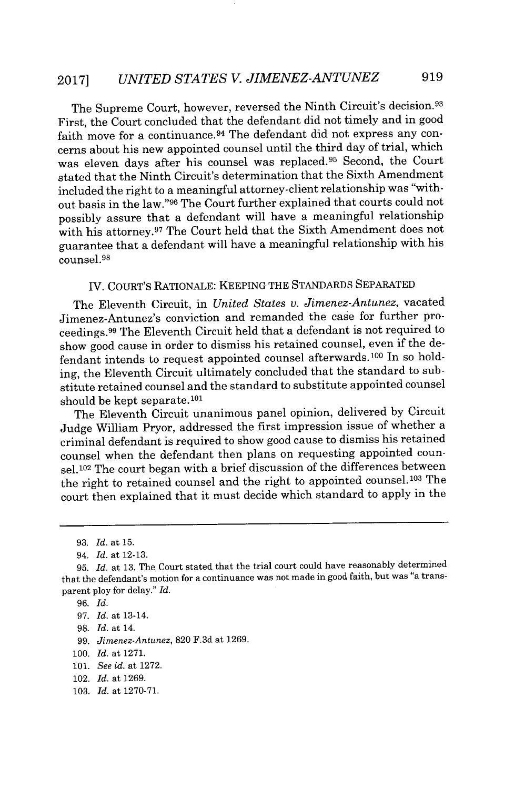The Supreme Court, however, reversed the Ninth Circuit's decision.<sup>93</sup> First, the Court concluded that the defendant did not timely and in good faith move for a continuance.<sup>94</sup> The defendant did not express any concerns about his new appointed counsel until the third day of trial, which was eleven days after his counsel was replaced.<sup>95</sup> Second, the Court stated that the Ninth Circuit's determination that the Sixth Amendment included the right to a meaningful attorney-client relationship was "without basis in the law."96 The Court further explained that courts could not possibly assure that a defendant will have a meaningful relationship with his attorney.<sup>97</sup> The Court held that the Sixth Amendment does not guarantee that a defendant will have a meaningful relationship with his counsel.<sup>98</sup>

## IV. COURT'S RATIONALE: KEEPING THE **STANDARDS** SEPARATED

The Eleventh Circuit, in *United States v. Jimenez-Antunez,* vacated Jimenez-Antunez's conviction and remanded the case for further proceedings. <sup>99</sup>The Eleventh Circuit held that a defendant is not required to show good cause in order to dismiss his retained counsel, even if the defendant intends to request appointed counsel afterwards.<sup>100</sup> In so holding, the Eleventh Circuit ultimately concluded that the standard to substitute retained counsel and the standard to substitute appointed counsel should be kept separate.<sup>101</sup>

The Eleventh Circuit unanimous panel opinion, delivered **by** Circuit Judge William Pryor, addressed the first impression issue of whether a criminal defendant is required to show good cause to dismiss his retained counsel when the defendant then plans on requesting appointed counsel.<sup>102</sup> The court began with a brief discussion of the differences between the right to retained counsel and the right to appointed counsel.103 The court then explained that it must decide which standard to apply in the

*99. Jimenez-Antunez,* **820 F.3d** at **1269.**

- 102. *Id.* at **1269.**
- **103.** *Id.* at **1270-71.**

**<sup>93.</sup>** *Id. at* **15.**

*<sup>94.</sup> Id. at* **12-13.**

**<sup>95.</sup>** *Id. at* **13.** The Court stated that the trial court could have reasonably determined that the defendant's motion for a continuance was not made in good faith, but was "a transparent ploy for delay." *Id.*

**<sup>96.</sup>** *Id.*

*<sup>97.</sup> Id.* at 13-14.

**<sup>98.</sup>** *Id.* at 14.

**<sup>100.</sup>** *Id.* at **1271.**

**<sup>101.</sup>** *See id.* at **1272.**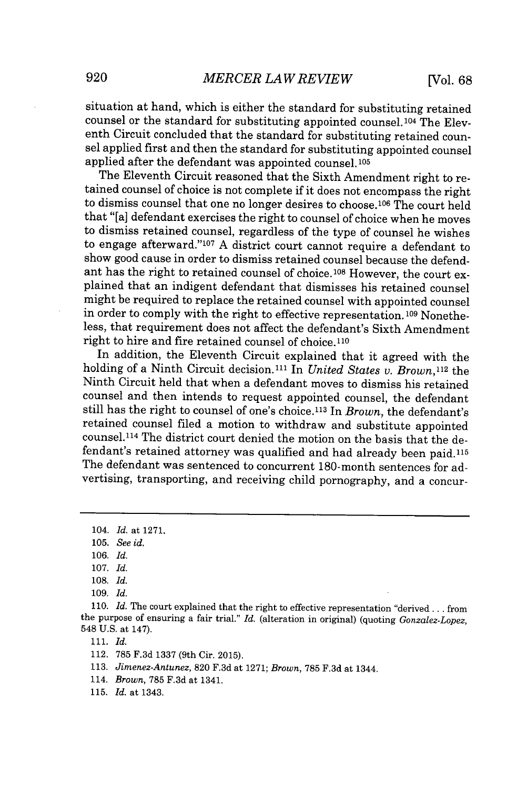situation at hand, which is either the standard for substituting retained counsel or the standard for substituting appointed counsel.<sup>104</sup> The Eleventh Circuit concluded that the standard for substituting retained counsel applied first and then the standard for substituting appointed counsel applied after the defendant was appointed counsel.<sup>105</sup>

The Eleventh Circuit reasoned that the Sixth Amendment right to retained counsel of choice is not complete if it does not encompass the right to dismiss counsel that one no longer desires to choose.<sup>106</sup> The court held that "[a] defendant exercises the right to counsel of choice when he moves to dismiss retained counsel, regardless of the type of counsel he wishes to engage afterward."<sup>107</sup> A district court cannot require a defendant to show good cause in order to dismiss retained counsel because the defendant has the right to retained counsel of choice.108 However, the court explained that an indigent defendant that dismisses his retained counsel might be required to replace the retained counsel with appointed counsel in order to comply with the right to effective representation.<sup>109</sup> Nonetheless, that requirement does not affect the defendant's Sixth Amendment right to hire and fire retained counsel of **choice.110**

In addition, the Eleventh Circuit explained that it agreed with the holding of a Ninth Circuit decision.<sup>111</sup> In *United States v. Brown*,<sup>112</sup> the Ninth Circuit held that when a defendant moves to dismiss his retained counsel and then intends to request appointed counsel, the defendant still has the right to counsel of one's choice.113 In *Brown,* the defendant's retained counsel filed a motion to withdraw and substitute appointed counsel.<sup>114</sup> The district court denied the motion on the basis that the defendant's retained attorney was qualified and had already been paid.115 The defendant was sentenced to concurrent 180-month sentences for advertising, transporting, and receiving child pornography, and a concur-

- **113.** *Jimenez-Antunez,* **820 F.3d** at **1271;** *Brown,* **785 F.3d** at 1344.
- 114. *Brown,* **785 F.3d** at 1341.
- **115.** *Id. at* **1343.**

**<sup>104.</sup>** *Id. at* **1271.**

**<sup>105.</sup>** *See id.*

**<sup>106.</sup>** *Id.*

**<sup>107.</sup>** *Id.*

**<sup>108.</sup>** *Id.*

**<sup>109.</sup>** *Id.*

**<sup>110.</sup>** *Id.* The court explained that the right to effective representation "derived **...** from the purpose of ensuring a fair trial." *Id.* (alteration *in* original) (quoting *Gonzalez-Lopez,* 548 **U.S.** at 147).

<sup>112.</sup> **785 F.3d 1337** (9th Cir. **2015).**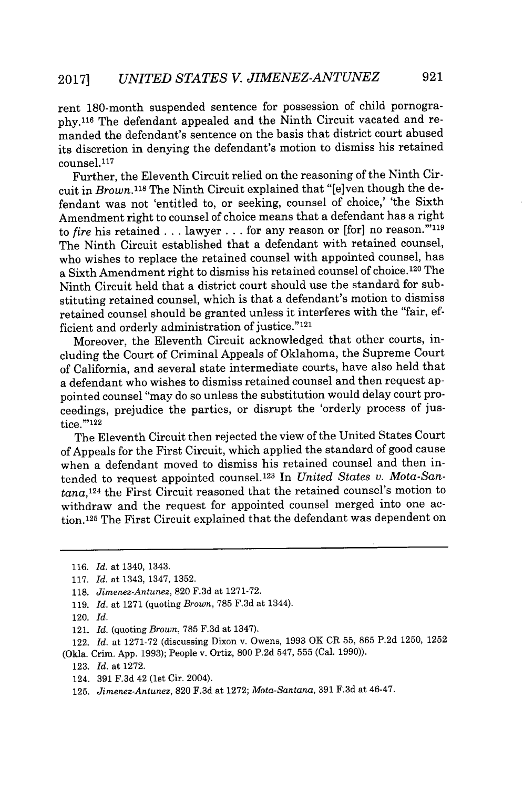rent 180-month suspended sentence for possession of child pornogra**phy.1 <sup>16</sup>**The defendant appealed and the Ninth Circuit vacated and remanded the defendant's sentence on the basis that district court abused its discretion in denying the defendant's motion to dismiss his retained counsel.<sup>117</sup>

Further, the Eleventh Circuit relied on the reasoning of the Ninth Circuit in *Brown.118* The Ninth Circuit explained that "[e]ven though the defendant was not 'entitled to, or seeking, counsel of choice,' 'the Sixth Amendment right to counsel of choice means that a defendant has a right to *fire* his retained . . . lawyer . . . for any reason or [for] no reason."<sup>119</sup> The Ninth Circuit established that a defendant with retained counsel, who wishes to replace the retained counsel with appointed counsel, has a Sixth Amendment right to dismiss his retained counsel of choice.<sup>120</sup> The Ninth Circuit held that a district court should use the standard for substituting retained counsel, which is that a defendant's motion to dismiss retained counsel should be granted unless it interferes with the "fair, efficient and orderly administration of justice."121

Moreover, the Eleventh Circuit acknowledged that other courts, including the Court of Criminal Appeals of Oklahoma, the Supreme Court of California, and several state intermediate courts, have also held that a defendant who wishes to dismiss retained counsel and then request appointed counsel "may do so unless the substitution would delay court proceedings, prejudice the parties, or disrupt the 'orderly process of justice.""<sup>122</sup>

The Eleventh Circuit then rejected the view of the United States Court of Appeals for the First Circuit, which applied the standard of good cause when a defendant moved to dismiss his retained counsel and then intended to request appointed counsel.123 In *United States v. Mota-Santana,1<sup>24</sup>*the First Circuit reasoned that the retained counsel's motion to withdraw and the request for appointed counsel merged into one action.1<sup>25</sup>The First Circuit explained that the defendant was dependent on

124. **391 F.3d** 42 (1st Cir. 2004).

**<sup>116.</sup>** *Id.* at 1340, 1343.

**<sup>117.</sup>** *Id.* at 1343, 1347, **1352.**

**<sup>118.</sup>** *Jimenez-Antunez,* **820 F.3d** at **1271-72.**

**<sup>119.</sup>** *Id.* at **1271** (quoting *Brown,* **785 F.3d** at 1344).

<sup>120.</sup> *Id.*

<sup>121.</sup> *Id.* (quoting *Brown,* **785 F.3d** at 1347).

<sup>122.</sup> *Id.* at **1271-72** (discussing Dixon v. Owens, **1993** OK CR **55, 865 P.2d 1250, 1252** (Okla. Crim. **App. 1993);** People v. Ortiz, **800 P.2d** 547, **555** (Cal. **1990)).**

**<sup>123.</sup>** *Id.* at **1272.**

**<sup>125.</sup>** *Jimenez-Antunez,* **820 F.3d** at **1272;** *Mota-Santana,* **391 F.3d** at 46-47.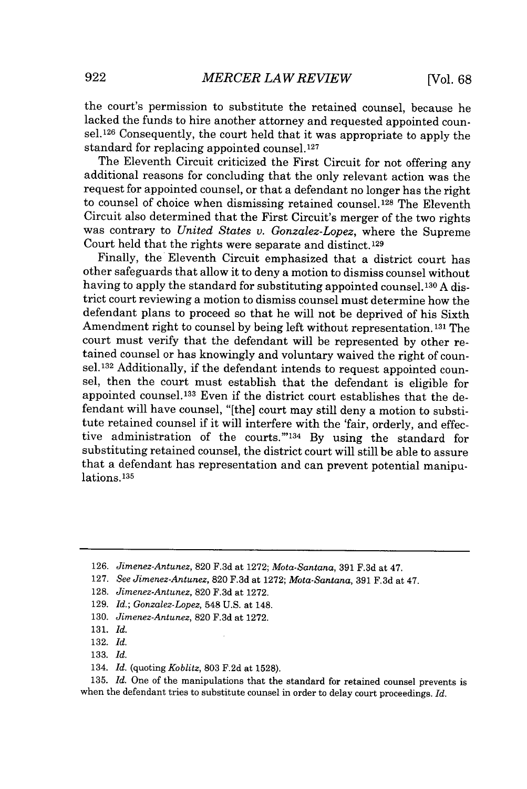the court's permission to substitute the retained counsel, because he lacked the funds to hire another attorney and requested appointed coun $sel<sup>126</sup> Consequently, the court held that it was appropriate to apply the$ standard for replacing appointed counsel.<sup>127</sup>

The Eleventh Circuit criticized the First Circuit for not offering any additional reasons for concluding that the only relevant action was the request for appointed counsel, or that a defendant no longer has the right to counsel of choice when dismissing retained counsel.<sup>128</sup> The Eleventh Circuit also determined that the First Circuit's merger of the two rights was contrary to *United States v. Gonzalez-Lopez,* where the Supreme Court held that the rights were separate and distinct. <sup>129</sup>

Finally, the Eleventh Circuit emphasized that a district court has other safeguards that allow it to deny a motion to dismiss counsel without having to apply the standard for substituting appointed counsel. **130 A** district court reviewing a motion to dismiss counsel must determine how the defendant plans to proceed so that he will not be deprived of his Sixth Amendment right to counsel **by** being left without representation. **131** The court must verify that the defendant will be represented **by** other retained counsel or has knowingly and voluntary waived the right of counsel.<sup>132</sup> Additionally, if the defendant intends to request appointed counsel, then the court must establish that the defendant is eligible for appointed counsel.<sup>133</sup> Even if the district court establishes that the defendant will have counsel, "[the] court may still deny a motion to substitute retained counsel if it will interfere with the 'fair, orderly, and effective administration of the courts."<sup>134</sup> By using the standard for substituting retained counsel, the district court will still be able to assure that a defendant has representation and can prevent potential manipulations.<sup>135</sup>

- **130.** *Jimenez-Antunez,* **820 F.3d** at **1272.**
- **131.** *Id.*
- **132.** *Id.*
- **133.** *Id.*
- 134. *Id.* (quoting *Koblitz,* **803 F.2d** at **1528).**

**135.** *Id.* One of the manipulations that the standard for retained counsel prevents is when the defendant tries to substitute counsel in order to delay court proceedings. *Id.*

**<sup>126.</sup>** *Jimenez-Antunez,* **820 F.3d** at **1272;** *Mota-Santana,* **391 F.3d** at 47.

**<sup>127.</sup>** *See Jimenez-Antunez,* **820 F.3d** at **1272;** *Mota-Santana,* **391 F.3d** at 47.

**<sup>128.</sup>** *Jimenez-Antunez,* **820 F.3d** at **1272.**

**<sup>129.</sup>** *Id.; Gonzalez-Lopez,* 548 **U.S.** at 148.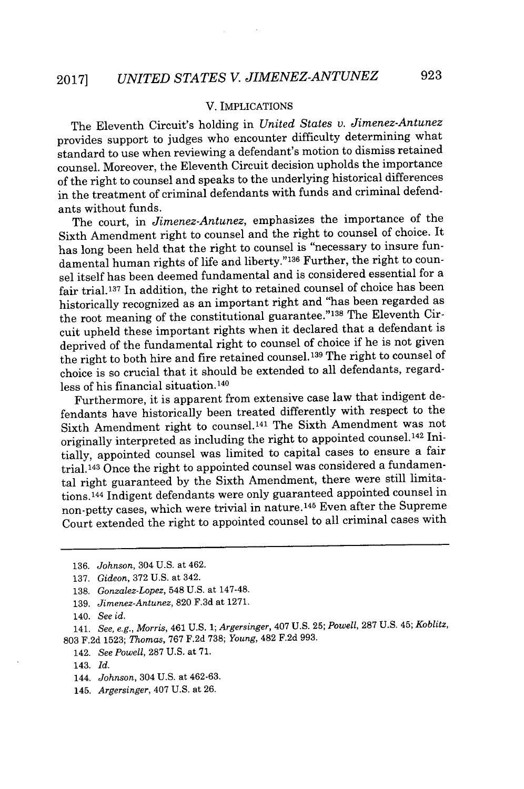#### V. IMPLICATIONS

The Eleventh Circuit's holding in *United States v. Jimenez-Antunez* provides support to judges who encounter difficulty determining what standard to use when reviewing a defendant's motion to dismiss retained counsel. Moreover, the Eleventh Circuit decision upholds the importance of the right to counsel and speaks to the underlying historical differences in the treatment of criminal defendants with funds and criminal defendants without funds.

The court, in *Jimenez-Antunez,* emphasizes the importance of the Sixth Amendment right to counsel and the right to counsel of choice. It has long been held that the right to counsel is "necessary to insure fundamental human rights of life and liberty."<sup>136</sup> Further, the right to counsel itself has been deemed fundamental and is considered essential for a fair trial.<sup>137</sup> In addition, the right to retained counsel of choice has been historically recognized as an important right and "has been regarded as the root meaning of the constitutional guarantee."<sup>138</sup> The Eleventh Circuit upheld these important rights when it declared that a defendant is deprived of the fundamental right to counsel of choice if he is not given the right to both hire and fire retained counsel.<sup>139</sup> The right to counsel of choice is so crucial that it should be extended to all defendants, regardless of his financial situation. <sup>140</sup>

Furthermore, it is apparent from extensive case law that indigent defendants have historically been treated differently with respect to the Sixth Amendment right to counsel.<sup>141</sup> The Sixth Amendment was not originally interpreted as including the right to appointed counsel.<sup>142</sup> Initially, appointed counsel was limited to capital cases to ensure a fair trial.143 Once the right to appointed counsel was considered a fundamental right guaranteed **by** the Sixth Amendment, there were still limitations.1<sup>44</sup>Indigent defendants were only guaranteed appointed counsel in non-petty cases, which were trivial in nature.<sup>145</sup> Even after the Supreme Court extended the right to appointed counsel to all criminal cases with

141. *See, e.g., Morris,* 461 **U.S.** *1; Argersinger,* 407 **U.S. 25;** *Powell,* **287 U.S.** 45; *Koblitz,* **803 F.2d 1523;** *Thomas, 767* **F.2d 738;** *Young,* 482 **F.2d 993.**

**<sup>136.</sup>** *Johnson,* 304 **U.S.** *at* 462.

**<sup>137.</sup>** *Gideon,* **372 U.S.** *at* 342.

**<sup>138.</sup>** *Gonzalez-Lopez,* 548 **U.S.** *at* 147-48.

**<sup>139.</sup>** *Jimenez-Antunez,* **820 F.3d** *at* **1271.**

<sup>140.</sup> *See id.*

<sup>142.</sup> *See Powell,* **287 U.S.** *at* **71.**

<sup>143.</sup> *Id.*

<sup>144.</sup> *Johnson,* 304 **U.S.** *at* **462-63.**

<sup>145.</sup> *Argersinger,* 407 **U.S.** *at* **26.**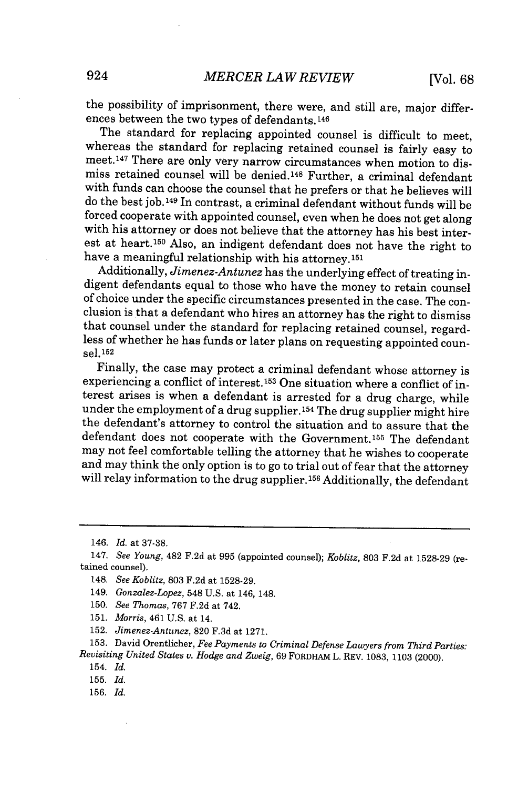the possibility of imprisonment, there were, and still are, major differences between the two types of defendants. 146

The standard for replacing appointed counsel is difficult to meet, whereas the standard for replacing retained counsel is fairly easy to meet.<sup>147</sup> There are only very narrow circumstances when motion to dismiss retained counsel will be denied.<sup>148</sup> Further, a criminal defendant with funds can choose the counsel that he prefers or that he believes will do the best **job.149** In contrast, a criminal defendant without funds will be forced cooperate with appointed counsel, even when he does not get along with his attorney or does not believe that the attorney has his best interest at heart.<sup>150</sup> Also, an indigent defendant does not have the right to have a meaningful relationship with his attorney.<sup>151</sup>

Additionally, *Jimenez-Antunez* has the underlying effect of treating indigent defendants equal to those who have the money to retain counsel of choice under the specific circumstances presented in the case. The conclusion is that a defendant who hires an attorney has the right to dismiss that counsel under the standard for replacing retained counsel, regardless of whether he has funds or later plans on requesting appointed counsel. **<sup>152</sup>**

Finally, the case may protect a criminal defendant whose attorney is experiencing a conflict of interest. 153 One situation where a conflict of interest arises is when a defendant is arrested for a drug charge, while under the employment of a drug supplier.<sup>154</sup> The drug supplier might hire the defendant's attorney to control the situation and to assure that the defendant does not cooperate with the Government.155 The defendant may not feel comfortable telling the attorney that he wishes to cooperate and may think the only option is to go to trial out of fear that the attorney will relay information to the drug supplier.<sup>156</sup> Additionally, the defendant

- 148. *See Koblitz,* **803 F.2d** at **1528-29.**
- 149. *Gonzalez-Lopez,* 548 **U.S.** at 146, 148.
- **150.** *See Thomas, 767* **F.2d** at 742.
- **151.** *Morris,* 461 **U.S.** at 14.
- **152.** *Jimenez-Antunez,* **820 F.3d** at **1271.**

154. *Id.*

**155.** *Id.*

<sup>146.</sup> *Id. at* **37-38.**

<sup>147.</sup> *See Young,* 482 **F.2d** at **995** (appointed counsel); *Koblitz,* **803 F.2d** at **1528-29** (retained counsel).

**<sup>153.</sup>** David Orentlicher, *Fee Payments to Criminal Defense Lawyers from Third Parties: Revisiting United States v. Hodge and Zweig,* **69 FORDHAM L. REv. 1083, 1103 (2000).**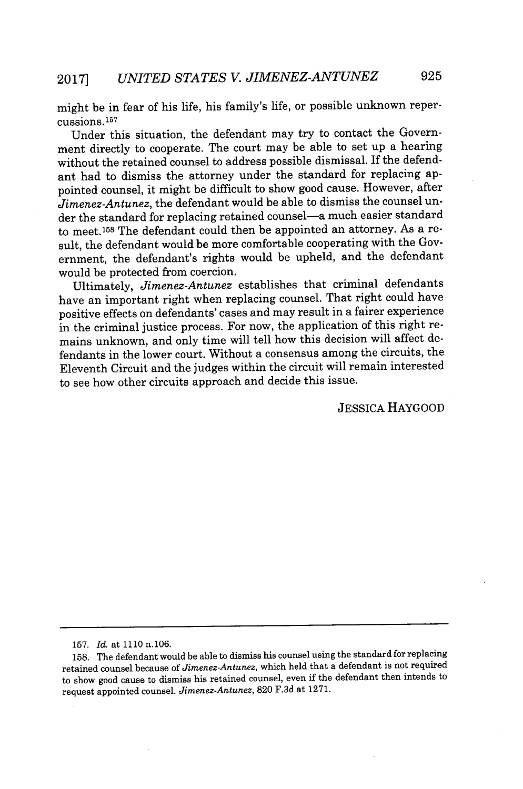might be in fear of his life, his family's life, or possible unknown repercussions.16<sup>7</sup>

Under this situation, the defendant may try to contact the Government directly to cooperate. The court may be able to set up a hearing without the retained counsel to address possible dismissal. If the defendant had to dismiss the attorney under the standard for replacing appointed counsel, it might be difficult to show good cause. However, after *Jimenez-Antunez,* the defendant would be able to dismiss the counsel under the standard for replacing retained counsel-a much easier standard to meet.<sup>158</sup> The defendant could then be appointed an attorney. As a result, the defendant would be more comfortable cooperating with the Government, the defendant's rights would be upheld, and the defendant would be protected from coercion.

Ultimately, *Jimenez-Antunez* establishes that criminal defendants have an important right when replacing counsel. That right could have positive effects on defendants' cases and may result in a fairer experience in the criminal justice process. For now, the application of this right remains unknown, and only time will tell how this decision will affect defendants in the lower court. Without a consensus among the circuits, the Eleventh Circuit and the judges within the circuit will remain interested to see how other circuits approach and decide this issue.

**JESSICA** HAYGOOD

**<sup>157.</sup>** *Id. at* **1110** n.106.

**<sup>158.</sup>** The defendant would be able to dismiss his counsel using the standard for replacing retained counsel because of *Jimenez-Antunez,* which held that a defendant is not required to show good cause to dismiss his retained counsel, even if the defendant then intends to request appointed counsel. *Jimenez-Antunez,* **820** F.3d at **1271.**